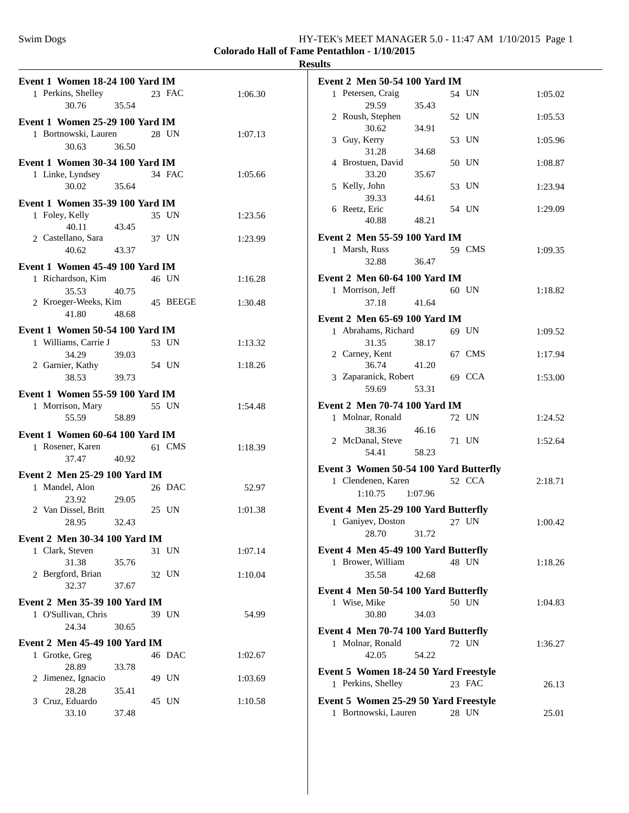**Event 1 Women 18-24 100 Yard IM**

**Colorado Hall of Fame Pentathlon - 1/10/2015**

| 1 Perkins, Shelley                | 23 FAC   | 1:06.30 |  |
|-----------------------------------|----------|---------|--|
| 30.76 35.54                       |          |         |  |
|                                   |          |         |  |
| Event 1 Women 25-29 100 Yard IM   |          |         |  |
| 1 Bortnowski, Lauren              | 28 UN    | 1:07.13 |  |
| 30.63<br>36.50                    |          |         |  |
|                                   |          |         |  |
| Event 1 Women 30-34 100 Yard IM   |          |         |  |
| 1 Linke, Lyndsey<br>30.02 35.64   | 34 FAC   | 1:05.66 |  |
|                                   |          |         |  |
| Event 1 Women 35-39 100 Yard IM   |          |         |  |
|                                   |          |         |  |
| 1 Foley, Kelly                    | 35 UN    | 1:23.56 |  |
| 40.11 43.45                       |          |         |  |
| 2 Castellano, Sara                | 37 UN    | 1:23.99 |  |
| 40.62<br>43.37                    |          |         |  |
| Event 1 Women 45-49 100 Yard IM   |          |         |  |
|                                   |          |         |  |
| 1 Richardson, Kim                 | 46 UN    | 1:16.28 |  |
| 35.53<br>40.75                    |          |         |  |
| 2 Kroeger-Weeks, Kim              | 45 BEEGE | 1:30.48 |  |
| 41.80<br>48.68                    |          |         |  |
| Event 1 Women 50-54 100 Yard IM   |          |         |  |
|                                   |          |         |  |
| 1 Williams, Carrie J              | 53 UN    | 1:13.32 |  |
| 34.29<br>39.03                    |          |         |  |
| 2 Garnier, Kathy                  | 54 UN    | 1:18.26 |  |
| 39.73<br>38.53                    |          |         |  |
| Event 1 Women 55-59 100 Yard IM   |          |         |  |
|                                   |          |         |  |
| 1 Morrison, Mary                  | 55 UN    | 1:54.48 |  |
| 55.59 58.89                       |          |         |  |
| Event 1 Women 60-64 100 Yard IM   |          |         |  |
| 1 Rosener, Karen                  | 61 CMS   |         |  |
|                                   |          | 1:18.39 |  |
| 37.47<br>40.92                    |          |         |  |
| Event 2 Men 25-29 100 Yard IM     |          |         |  |
|                                   |          |         |  |
|                                   |          |         |  |
| 1 Mandel, Alon                    | 26 DAC   | 52.97   |  |
| 23.92<br>29.05                    |          |         |  |
| 2 Van Dissel, Britt               | 25 UN    | 1:01.38 |  |
| 28.95 32.43                       |          |         |  |
|                                   |          |         |  |
| Event 2 Men 30-34 100 Yard IM     |          |         |  |
| 1 Clark, Steven                   | 31 UN    | 1:07.14 |  |
| 31.38<br>35.76                    |          |         |  |
| 2 Bergford, Brian                 | 32 UN    | 1:10.04 |  |
| 32.37<br>37.67                    |          |         |  |
|                                   |          |         |  |
| Event 2 Men 35-39 100 Yard IM     |          |         |  |
| 1 O'Sullivan, Chris               | 39 UN    | 54.99   |  |
| 24.34<br>30.65                    |          |         |  |
| Event 2 Men 45-49 100 Yard IM     |          |         |  |
|                                   |          |         |  |
| 1 Grotke, Greg                    | 46 DAC   | 1:02.67 |  |
| 28.89<br>33.78                    |          |         |  |
| 2 Jimenez, Ignacio                | 49 UN    | 1:03.69 |  |
| 28.28<br>35.41                    |          |         |  |
| 3 Cruz, Eduardo<br>33.10<br>37.48 | 45 UN    | 1:10.58 |  |

| <b>Results</b>                                    |        |         |
|---------------------------------------------------|--------|---------|
| <b>Event 2 Men 50-54 100 Yard IM</b>              |        |         |
| 1 Petersen, Craig                                 | 54 UN  | 1:05.02 |
| 29.59<br>35.43                                    |        |         |
| 2 Roush, Stephen                                  | 52 UN  | 1:05.53 |
| 30.62<br>34.91                                    |        |         |
| 3 Guy, Kerry<br>31.28<br>34.68                    | 53 UN  | 1:05.96 |
| 4 Brostuen, David                                 | 50 UN  | 1:08.87 |
| 33.20<br>35.67                                    |        |         |
| 5 Kelly, John                                     | 53 UN  | 1:23.94 |
| 39.33<br>44.61                                    |        |         |
| 6 Reetz, Eric<br>40.88<br>48.21                   | 54 UN  | 1:29.09 |
|                                                   |        |         |
| Event 2 Men 55-59 100 Yard IM                     |        |         |
| 1 Marsh, Russ<br>32.88<br>36.47                   | 59 CMS | 1:09.35 |
|                                                   |        |         |
| Event 2 Men 60-64 100 Yard IM<br>1 Morrison, Jeff | 60 UN  | 1:18.82 |
| 37.18<br>41.64                                    |        |         |
| <b>Event 2 Men 65-69 100 Yard IM</b>              |        |         |
| 1 Abrahams, Richard                               | 69 UN  | 1:09.52 |
| 31.35<br>38.17                                    |        |         |
| 2 Carney, Kent                                    | 67 CMS | 1:17.94 |
| 36.74<br>41.20                                    |        |         |
| 3 Zaparanick, Robert<br>59.69                     | 69 CCA | 1:53.00 |
| 53.31                                             |        |         |
| <b>Event 2 Men 70-74 100 Yard IM</b>              |        |         |
| 1 Molnar, Ronald<br>46.16<br>38.36                | 72 UN  | 1:24.52 |
| 2 McDanal, Steve                                  | 71 UN  | 1:52.64 |
| 54.41<br>58.23                                    |        |         |
| Event 3 Women 50-54 100 Yard Butterfly            |        |         |
| 1 Clendenen, Karen                                | 52 CCA | 2:18.71 |
| $1:10.75$ $1:07.96$                               |        |         |
| Event 4 Men 25-29 100 Yard Butterfly              |        |         |
| 1 Ganiyev, Doston                                 | 27 UN  | 1:00.42 |
| 28.70<br>31.72                                    |        |         |
| Event 4 Men 45-49 100 Yard Butterfly              |        |         |
| 1 Brower, William                                 | 48 UN  | 1:18.26 |
| 35.58<br>42.68                                    |        |         |
| Event 4 Men 50-54 100 Yard Butterfly              |        |         |
| 1 Wise, Mike                                      | 50 UN  | 1:04.83 |
| 30.80<br>34.03                                    |        |         |
| Event 4 Men 70-74 100 Yard Butterfly              |        |         |
| 1 Molnar, Ronald                                  | 72 UN  | 1:36.27 |
| 54.22<br>42.05                                    |        |         |
| Event 5 Women 18-24 50 Yard Freestyle             |        |         |
| 1 Perkins, Shelley                                | 23 FAC | 26.13   |
| Event 5 Women 25-29 50 Yard Freestyle             |        |         |
| 1 Bortnowski, Lauren                              | 28 UN  | 25.01   |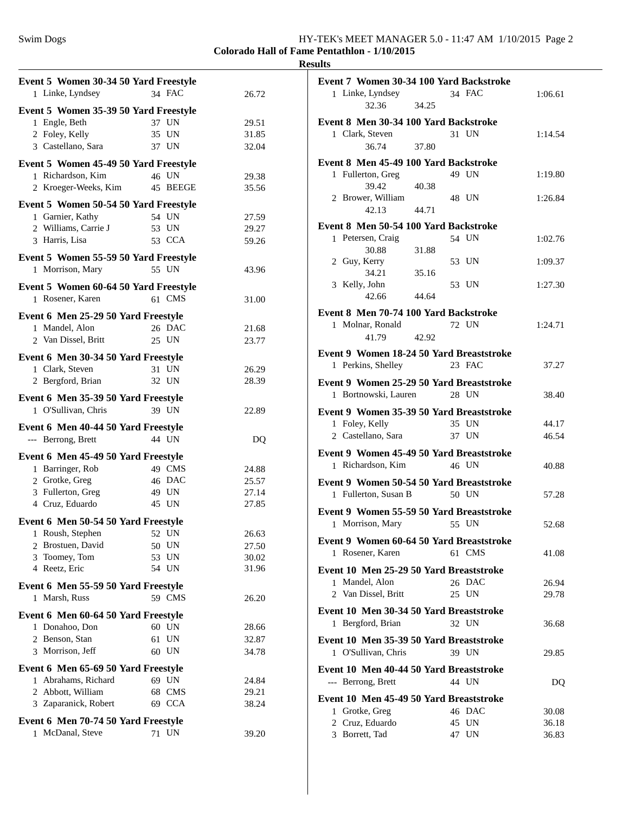### **Colorado Hall of Fame Pentathlon - 1/10/2015 Results**

| Event 5 Women 30-34 50 Yard Freestyle    |                |       |  |
|------------------------------------------|----------------|-------|--|
| 1 Linke, Lyndsey                         | 34 FAC         | 26.72 |  |
| Event 5 Women 35-39 50 Yard Freestyle    |                |       |  |
| 1 Engle, Beth                            | 37 UN          | 29.51 |  |
| 2 Foley, Kelly                           | 35 UN          | 31.85 |  |
| 3 Castellano, Sara                       | 37 UN          | 32.04 |  |
| Event 5 Women 45-49 50 Yard Freestyle    |                |       |  |
| 1 Richardson, Kim                        | 46 UN          | 29.38 |  |
| 2 Kroeger-Weeks, Kim                     | 45 BEEGE       | 35.56 |  |
|                                          |                |       |  |
| Event 5 Women 50-54 50 Yard Freestyle    |                |       |  |
| 1 Garnier, Kathy<br>2 Williams, Carrie J | 54 UN<br>53 UN | 27.59 |  |
| 3 Harris, Lisa                           | 53 CCA         | 29.27 |  |
|                                          |                | 59.26 |  |
| Event 5 Women 55-59 50 Yard Freestyle    |                |       |  |
| 1 Morrison, Mary                         | 55 UN          | 43.96 |  |
| Event 5 Women 60-64 50 Yard Freestyle    |                |       |  |
| 1 Rosener, Karen                         | 61 CMS         | 31.00 |  |
| Event 6 Men 25-29 50 Yard Freestyle      |                |       |  |
| 1 Mandel, Alon                           | 26 DAC         | 21.68 |  |
| 2 Van Dissel, Britt                      | 25 UN          | 23.77 |  |
|                                          |                |       |  |
| Event 6 Men 30-34 50 Yard Freestyle      |                |       |  |
| 1 Clark, Steven                          | 31 UN          | 26.29 |  |
| 2 Bergford, Brian                        | 32 UN          | 28.39 |  |
| Event 6 Men 35-39 50 Yard Freestyle      |                |       |  |
| 1 O'Sullivan, Chris                      | 39 UN          | 22.89 |  |
| Event 6 Men 40-44 50 Yard Freestyle      |                |       |  |
| --- Berrong, Brett                       | 44 UN          | DQ    |  |
|                                          |                |       |  |
| Event 6 Men 45-49 50 Yard Freestyle      |                |       |  |
| 1 Barringer, Rob                         | 49 CMS         | 24.88 |  |
| 2 Grotke, Greg                           | 46 DAC         | 25.57 |  |
| 3 Fullerton, Greg                        | 49 UN          | 27.14 |  |
| 4 Cruz, Eduardo                          | 45 UN          | 27.85 |  |
| Event 6 Men 50-54 50 Yard Freestyle      |                |       |  |
| 1 Roush, Stephen                         | 52 UN          | 26.63 |  |
| 2 Brostuen, David                        | 50 UN          | 27.50 |  |
| 3 Toomey, Tom                            | 53 UN          | 30.02 |  |
| 4 Reetz, Eric                            | 54 UN          | 31.96 |  |
| Event 6 Men 55-59 50 Yard Freestyle      |                |       |  |
| 1 Marsh, Russ                            | 59 CMS         | 26.20 |  |
| Event 6 Men 60-64 50 Yard Freestyle      |                |       |  |
| 1 Donahoo, Don                           | 60 UN          | 28.66 |  |
| 2 Benson, Stan                           | 61 UN          | 32.87 |  |
| 3 Morrison, Jeff                         | 60 UN          | 34.78 |  |
|                                          |                |       |  |
| Event 6 Men 65-69 50 Yard Freestyle      |                |       |  |
| 1 Abrahams, Richard                      | 69 UN          | 24.84 |  |
| 2 Abbott, William                        | 68 CMS         | 29.21 |  |
| 3 Zaparanick, Robert                     | 69 CCA         | 38.24 |  |
| Event 6 Men 70-74 50 Yard Freestyle      |                |       |  |
| 1 McDanal, Steve                         | 71 UN          | 39.20 |  |
|                                          |                |       |  |

| Event 7 Women 30-34 100 Yard Backstroke  |        |         |
|------------------------------------------|--------|---------|
| 1 Linke, Lyndsey<br>32.36<br>34.25       | 34 FAC | 1:06.61 |
| Event 8 Men 30-34 100 Yard Backstroke    |        |         |
| 1 Clark, Steven                          | 31 UN  | 1:14.54 |
| 36.74<br>37.80                           |        |         |
| Event 8 Men 45-49 100 Yard Backstroke    |        |         |
| 1 Fullerton, Greg                        | 49 UN  | 1:19.80 |
| 39.42<br>40.38                           |        |         |
| 2 Brower, William                        | 48 UN  | 1:26.84 |
| 42.13<br>44.71                           |        |         |
| Event 8 Men 50-54 100 Yard Backstroke    |        |         |
| 1 Petersen, Craig                        | 54 UN  | 1:02.76 |
| 30.88<br>31.88                           |        |         |
| 2 Guy, Kerry                             | 53 UN  | 1:09.37 |
| 34.21<br>35.16                           |        |         |
| 3 Kelly, John                            | 53 UN  | 1:27.30 |
| 42.66<br>44.64                           |        |         |
| Event 8 Men 70-74 100 Yard Backstroke    |        |         |
| 1 Molnar, Ronald                         | 72 UN  | 1:24.71 |
| 41.79<br>42.92                           |        |         |
|                                          |        |         |
| Event 9 Women 18-24 50 Yard Breaststroke | 23 FAC |         |
| 1 Perkins, Shelley                       |        | 37.27   |
| Event 9 Women 25-29 50 Yard Breaststroke |        |         |
| 1 Bortnowski, Lauren                     | 28 UN  | 38.40   |
| Event 9 Women 35-39 50 Yard Breaststroke |        |         |
| 1 Foley, Kelly                           | 35 UN  | 44.17   |
| 2 Castellano, Sara                       | 37 UN  | 46.54   |
| Event 9 Women 45-49 50 Yard Breaststroke |        |         |
| 1 Richardson, Kim                        | 46 UN  | 40.88   |
|                                          |        |         |
| Event 9 Women 50-54 50 Yard Breaststroke |        |         |
| 1 Fullerton, Susan B                     | 50 UN  | 57.28   |
| Event 9 Women 55-59 50 Yard Breaststroke |        |         |
| 1 Morrison, Mary                         | 55 UN  | 52.68   |
| Event 9 Women 60-64 50 Yard Breaststroke |        |         |
| 1 Rosener, Karen                         | 61 CMS | 41.08   |
|                                          |        |         |
| Event 10 Men 25-29 50 Yard Breaststroke  |        |         |
| 1 Mandel, Alon                           | 26 DAC | 26.94   |
| 2 Van Dissel, Britt                      | 25 UN  | 29.78   |
| Event 10 Men 30-34 50 Yard Breaststroke  |        |         |
| 1 Bergford, Brian                        | 32 UN  | 36.68   |
| Event 10 Men 35-39 50 Yard Breaststroke  |        |         |
| 1 O'Sullivan, Chris                      | 39 UN  | 29.85   |
| Event 10 Men 40-44 50 Yard Breaststroke  |        |         |
| --- Berrong, Brett                       | 44 UN  | DQ      |
|                                          |        |         |
| Event 10 Men 45-49 50 Yard Breaststroke  |        |         |
| 1 Grotke, Greg                           | 46 DAC | 30.08   |
| 2 Cruz, Eduardo                          | 45 UN  | 36.18   |
| 3 Borrett, Tad                           | 47 UN  | 36.83   |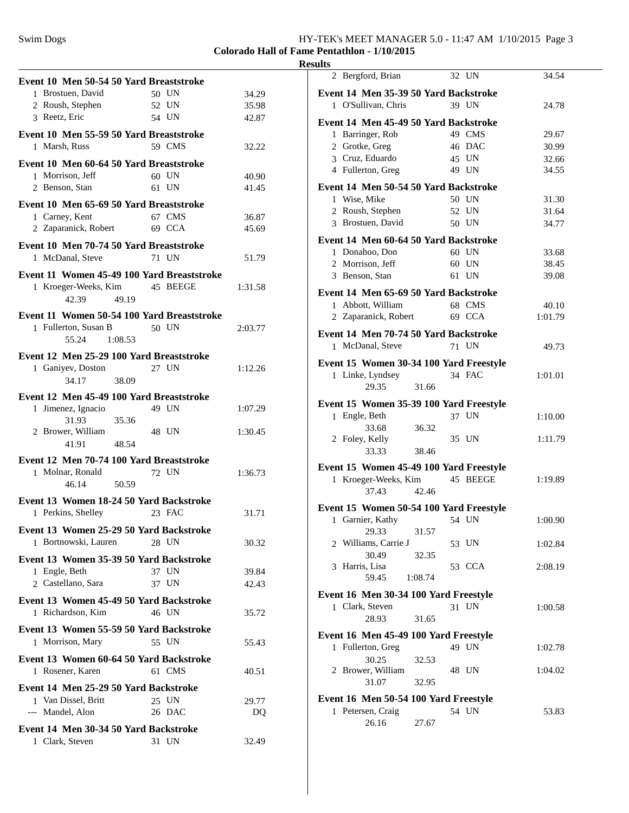# Swim Dogs HY-TEK's MEET MANAGER 5.0 - 11:47 AM 1/10/2015 Page 3

### **Colorado Hall of Fame Pentathlon - 1/10/2015 Results**

|                                            |       |                 |         | res |
|--------------------------------------------|-------|-----------------|---------|-----|
| Event 10 Men 50-54 50 Yard Breaststroke    |       |                 |         |     |
| 1 Brostuen, David                          |       | 50 UN           | 34.29   |     |
| 2 Roush, Stephen                           |       | 52 UN           | 35.98   |     |
| 3 Reetz, Eric                              |       | 54 UN           | 42.87   |     |
|                                            |       |                 |         |     |
| Event 10 Men 55-59 50 Yard Breaststroke    |       |                 |         |     |
| 1 Marsh, Russ                              |       | 59 CMS          | 32.22   |     |
| Event 10 Men 60-64 50 Yard Breaststroke    |       |                 |         |     |
| 1 Morrison, Jeff                           |       | $60$ UN         | 40.90   |     |
| 2 Benson, Stan                             |       | 61 UN           | 41.45   |     |
| Event 10 Men 65-69 50 Yard Breaststroke    |       |                 |         |     |
| 1 Carney, Kent                             |       | 67 CMS          | 36.87   |     |
| 2 Zaparanick, Robert                       |       | 69 CCA          | 45.69   |     |
|                                            |       |                 |         |     |
| Event 10 Men 70-74 50 Yard Breaststroke    |       |                 |         |     |
| 1 McDanal, Steve                           |       | 71 UN           | 51.79   |     |
| Event 11 Women 45-49 100 Yard Breaststroke |       |                 |         |     |
| 1 Kroeger-Weeks, Kim 45 BEEGE              |       |                 | 1:31.58 |     |
| 42.39                                      | 49.19 |                 |         |     |
|                                            |       |                 |         |     |
| Event 11 Women 50-54 100 Yard Breaststroke |       |                 |         |     |
| 1 Fullerton, Susan B                       |       | 50 UN           | 2:03.77 |     |
| 55.24 1:08.53                              |       |                 |         |     |
| Event 12 Men 25-29 100 Yard Breaststroke   |       |                 |         |     |
| 1 Ganiyev, Doston                          |       | 27 UN           | 1:12.26 |     |
| 34.17<br>38.09                             |       |                 |         |     |
| Event 12 Men 45-49 100 Yard Breaststroke   |       |                 |         |     |
| 1 Jimenez, Ignacio                         |       | 49 UN           | 1:07.29 |     |
| 31.93                                      | 35.36 |                 |         |     |
| 2 Brower, William                          |       | 48 UN           | 1:30.45 |     |
| 48.54<br>41.91                             |       |                 |         |     |
|                                            |       |                 |         |     |
| Event 12 Men 70-74 100 Yard Breaststroke   |       |                 |         |     |
| 1 Molnar, Ronald                           |       | 72 UN           | 1:36.73 |     |
| 46.14                                      | 50.59 |                 |         |     |
| Event 13 Women 18-24 50 Yard Backstroke    |       |                 |         |     |
| 1 Perkins, Shelley                         |       | 23 FAC          | 31.71   |     |
| Event 13 Women 25-29 50 Yard Backstroke    |       |                 |         |     |
| 1 Bortnowski, Lauren                       |       | 28 UN           | 30.32   |     |
|                                            |       |                 |         |     |
| Event 13 Women 35-39 50 Yard Backstroke    |       |                 |         |     |
| 1 Engle, Beth                              |       | 37 UN           | 39.84   |     |
| 2 Castellano, Sara                         |       | 37 UN           | 42.43   |     |
| Event 13 Women 45-49 50 Yard Backstroke    |       |                 |         |     |
| 1 Richardson, Kim                          |       | 46 UN           | 35.72   |     |
|                                            |       |                 |         |     |
| Event 13 Women 55-59 50 Yard Backstroke    |       |                 |         |     |
| 1 Morrison, Mary                           |       | 55 UN           | 55.43   |     |
| Event 13 Women 60-64 50 Yard Backstroke    |       |                 |         |     |
| 1 Rosener, Karen                           |       | 61 CMS          | 40.51   |     |
| Event 14 Men 25-29 50 Yard Backstroke      |       |                 |         |     |
|                                            |       |                 |         |     |
| 1 Van Dissel, Britt                        |       | 25 UN<br>26 DAC | 29.77   |     |
| --- Mandel, Alon                           |       |                 | DQ      |     |
| Event 14 Men 30-34 50 Yard Backstroke      |       |                 |         |     |
| 1 Clark, Steven                            |       | 31 UN           | 32.49   |     |
|                                            |       |                 |         |     |

| ᄖ                                                       |          |                |
|---------------------------------------------------------|----------|----------------|
| 2 Bergford, Brian                                       | 32 UN    | 34.54          |
| Event 14 Men 35-39 50 Yard Backstroke                   |          |                |
| 1 O'Sullivan, Chris                                     | 39 UN    | 24.78          |
| Event 14 Men 45-49 50 Yard Backstroke                   |          |                |
| 1 Barringer, Rob                                        | 49 CMS   | 29.67          |
| 2 Grotke, Greg                                          | 46 DAC   | 30.99          |
| 3 Cruz, Eduardo                                         | 45 UN    | 32.66          |
| 4 Fullerton, Greg                                       | 49 UN    | 34.55          |
| Event 14 Men 50-54 50 Yard Backstroke                   |          |                |
| 1 Wise, Mike                                            | 50 UN    | 31.30          |
| 2 Roush, Stephen                                        | 52 UN    | 31.64          |
| 3 Brostuen, David                                       | 50 UN    | 34.77          |
|                                                         |          |                |
| Event 14 Men 60-64 50 Yard Backstroke<br>1 Donahoo, Don | 60 UN    |                |
| 2 Morrison, Jeff                                        | 60 UN    | 33.68<br>38.45 |
| 3 Benson, Stan                                          | 61 UN    | 39.08          |
|                                                         |          |                |
| Event 14 Men 65-69 50 Yard Backstroke                   |          |                |
| 1 Abbott, William                                       | 68 CMS   | 40.10          |
| 2 Zaparanick, Robert                                    | 69 CCA   | 1:01.79        |
| Event 14 Men 70-74 50 Yard Backstroke                   |          |                |
| 1 McDanal, Steve                                        | 71 UN    | 49.73          |
| Event 15 Women 30-34 100 Yard Freestyle                 |          |                |
| 1 Linke, Lyndsey                                        | 34 FAC   | 1:01.01        |
| 29.35<br>31.66                                          |          |                |
| Event 15 Women 35-39 100 Yard Freestyle                 |          |                |
| 1 Engle, Beth                                           | 37 UN    | 1:10.00        |
| 33.68<br>36.32                                          |          |                |
| 2 Foley, Kelly                                          | 35 UN    | 1:11.79        |
| 33.33<br>38.46                                          |          |                |
| Event 15 Women 45-49 100 Yard Freestyle                 |          |                |
| 1 Kroeger-Weeks, Kim                                    | 45 BEEGE | 1:19.89        |
| 37.43<br>42.46                                          |          |                |
| Event 15 Women 50-54 100 Yard Freestyle                 |          |                |
| 1 Garnier, Kathy                                        | 54 UN    | 1:00.90        |
| 29.33<br>31.57                                          |          |                |
| 2 Williams, Carrie J                                    | 53 UN    | 1:02.84        |
| 30.49<br>32.35                                          |          |                |
| 3 Harris, Lisa                                          | 53 CCA   | 2:08.19        |
| 59.45<br>1:08.74                                        |          |                |
| Event 16 Men 30-34 100 Yard Freestyle                   |          |                |
| 1 Clark, Steven                                         | 31 UN    | 1:00.58        |
| 28.93<br>31.65                                          |          |                |
| Event 16 Men 45-49 100 Yard Freestyle                   |          |                |
| 1 Fullerton, Greg                                       | 49 UN    | 1:02.78        |
| 30.25<br>32.53                                          |          |                |
| 2 Brower, William                                       | 48 UN    | 1:04.02        |
| 31.07<br>32.95                                          |          |                |
| Event 16 Men 50-54 100 Yard Freestyle                   |          |                |
| 1 Petersen, Craig                                       | 54 UN    | 53.83          |
| 26.16<br>27.67                                          |          |                |
|                                                         |          |                |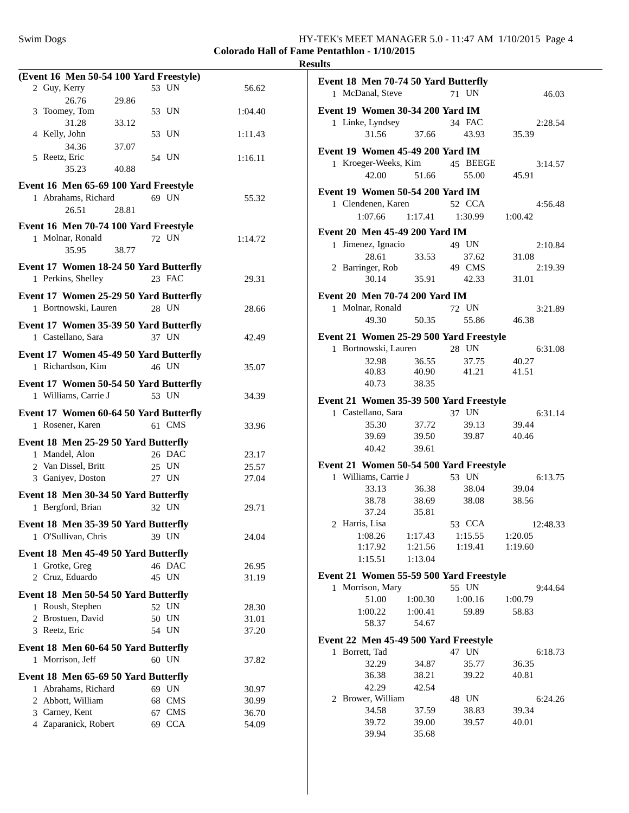### **Colorado Hall of Fame Pentathlon - 1/10/2015 Results**

| (Event 16 Men 50-54 100 Yard Freestyle) |        |         |
|-----------------------------------------|--------|---------|
| 2 Guy, Kerry                            | 53 UN  | 56.62   |
| 26.76<br>29.86                          |        |         |
| 3 Toomey, Tom                           | 53 UN  | 1:04.40 |
| 31.28<br>33.12                          |        |         |
| 4 Kelly, John                           | 53 UN  | 1:11.43 |
| 34.36<br>37.07                          |        |         |
| 5 Reetz, Eric                           | 54 UN  | 1:16.11 |
| 35.23<br>40.88                          |        |         |
| Event 16 Men 65-69 100 Yard Freestyle   |        |         |
| 1 Abrahams, Richard                     | 69 UN  | 55.32   |
| 26.51<br>28.81                          |        |         |
|                                         |        |         |
| Event 16 Men 70-74 100 Yard Freestyle   |        |         |
| 1 Molnar, Ronald                        | 72 UN  | 1:14.72 |
| 35.95<br>38.77                          |        |         |
| Event 17 Women 18-24 50 Yard Butterfly  |        |         |
| 1 Perkins, Shelley                      | 23 FAC | 29.31   |
|                                         |        |         |
| Event 17 Women 25-29 50 Yard Butterfly  |        |         |
| 1 Bortnowski, Lauren                    | 28 UN  | 28.66   |
| Event 17 Women 35-39 50 Yard Butterfly  |        |         |
| 1 Castellano, Sara                      | 37 UN  | 42.49   |
|                                         |        |         |
| Event 17 Women 45-49 50 Yard Butterfly  |        |         |
| 1 Richardson, Kim                       | 46 UN  | 35.07   |
| Event 17 Women 50-54 50 Yard Butterfly  |        |         |
| 1 Williams, Carrie J                    | 53 UN  | 34.39   |
|                                         |        |         |
| Event 17 Women 60-64 50 Yard Butterfly  |        |         |
| 1 Rosener, Karen                        | 61 CMS | 33.96   |
| Event 18 Men 25-29 50 Yard Butterfly    |        |         |
| 1 Mandel, Alon                          | 26 DAC | 23.17   |
| 2 Van Dissel, Britt                     | 25 UN  | 25.57   |
| 3 Ganiyev, Doston                       | 27 UN  | 27.04   |
| Event 18 Men 30-34 50 Yard Butterfly    |        |         |
| 1 Bergford, Brian                       | 32 UN  |         |
|                                         |        | 29.71   |
| Event 18 Men 35-39 50 Yard Butterfly    |        |         |
| 1 O'Sullivan, Chris                     | 39 UN  | 24.04   |
| Event 18 Men 45-49 50 Yard Butterfly    |        |         |
| 1 Grotke, Greg                          | 46 DAC | 26.95   |
| 2 Cruz, Eduardo                         | 45 UN  | 31.19   |
|                                         |        |         |
| Event 18 Men 50-54 50 Yard Butterfly    |        |         |
| 1 Roush, Stephen                        | 52 UN  | 28.30   |
| 2 Brostuen, David                       | 50 UN  | 31.01   |
| 3 Reetz, Eric                           | 54 UN  | 37.20   |
| Event 18 Men 60-64 50 Yard Butterfly    |        |         |
| 1 Morrison, Jeff                        | 60 UN  | 37.82   |
|                                         |        |         |
| Event 18 Men 65-69 50 Yard Butterfly    |        |         |
| 1 Abrahams, Richard                     | 69 UN  | 30.97   |
| 2 Abbott, William                       | 68 CMS | 30.99   |
|                                         |        |         |
| 3 Carney, Kent                          | 67 CMS | 36.70   |
| 4 Zaparanick, Robert                    | 69 CCA | 54.09   |

| Event 18 Men 70-74 50 Yard Butterfly                          |                  |                                         |                     |  |
|---------------------------------------------------------------|------------------|-----------------------------------------|---------------------|--|
| 1 McDanal, Steve                                              |                  | 71 UN                                   | 46.03               |  |
| Event 19 Women 30-34 200 Yard IM                              |                  |                                         |                     |  |
| 1 Linke, Lyndsey                                              |                  | 34 FAC                                  | 2:28.54             |  |
| 31.56                                                         | 37.66            | 43.93                                   | 35.39               |  |
| Event 19 Women 45-49 200 Yard IM                              |                  |                                         |                     |  |
| 1 Kroeger-Weeks, Kim                                          |                  | 45 BEEGE                                | 3:14.57             |  |
| 42.00                                                         | 51.66            | 55.00                                   | 45.91               |  |
|                                                               |                  |                                         |                     |  |
| Event 19 Women 50-54 200 Yard IM                              |                  |                                         |                     |  |
| 1 Clendenen, Karen                                            |                  | 52 CCA                                  | 4:56.48             |  |
| 1:07.66                                                       | 1:17.41          | 1:30.99                                 | 1:00.42             |  |
| Event 20 Men 45-49 200 Yard IM                                |                  |                                         |                     |  |
| Jimenez, Ignacio<br>1                                         |                  | 49 UN                                   | 2:10.84             |  |
| 28.61                                                         | 33.53            | 37.62                                   | 31.08               |  |
| 2 Barringer, Rob                                              |                  | 49 CMS                                  | 2:19.39             |  |
| 30.14                                                         | 35.91            | 42.33                                   | 31.01               |  |
| Event 20 Men 70-74 200 Yard IM                                |                  |                                         |                     |  |
| 1 Molnar, Ronald                                              |                  | 72 UN                                   | 3:21.89             |  |
| 49.30                                                         | 50.35            | 55.86                                   | 46.38               |  |
| Event 21 Women 25-29 500 Yard Freestyle                       |                  |                                         |                     |  |
| 1 Bortnowski, Lauren                                          |                  | 28 UN                                   | 6:31.08             |  |
| 32.98                                                         | 36.55            | 37.75                                   | 40.27               |  |
| 40.83                                                         | 40.90            | 41.21                                   | 41.51               |  |
| 40.73                                                         | 38.35            |                                         |                     |  |
|                                                               |                  |                                         |                     |  |
| Event 21 Women 35-39 500 Yard Freestyle<br>1 Castellano, Sara |                  | 37 UN                                   |                     |  |
| 35.30                                                         | 37.72            | 39.13                                   | 6:31.14<br>39.44    |  |
| 39.69                                                         | 39.50            | 39.87                                   | 40.46               |  |
| 40.42                                                         | 39.61            |                                         |                     |  |
|                                                               |                  |                                         |                     |  |
| Event 21 Women 50-54 500 Yard Freestyle                       |                  |                                         |                     |  |
| 1 Williams, Carrie J                                          |                  | 53 UN                                   | 6:13.75<br>39.04    |  |
| 33.13                                                         | 36.38            | 38.04                                   |                     |  |
| 38.78                                                         | 38.69<br>35.81   | 38.08                                   | 38.56               |  |
| 37.24<br>2 Harris, Lisa                                       |                  |                                         |                     |  |
|                                                               |                  | 53 CCA<br>$1:08.26$ $1:17.43$ $1:15.55$ | 12:48.33<br>1:20.05 |  |
| 1:17.92                                                       | 1:21.56          | 1:19.41                                 | 1:19.60             |  |
| 1:15.51                                                       | 1:13.04          |                                         |                     |  |
|                                                               |                  |                                         |                     |  |
| Event 21 Women 55-59 500 Yard Freestyle                       |                  |                                         |                     |  |
| 1 Morrison, Mary                                              |                  | 55 UN                                   | 9:44.64             |  |
| 51.00                                                         | 1:00.30          | 1:00.16                                 | 1:00.79             |  |
| 1:00.22<br>58.37                                              | 1:00.41<br>54.67 | 59.89                                   | 58.83               |  |
|                                                               |                  |                                         |                     |  |
| Event 22 Men 45-49 500 Yard Freestyle                         |                  |                                         |                     |  |
| 1 Borrett, Tad                                                |                  | 47 UN                                   | 6:18.73             |  |
| 32.29                                                         | 34.87            | 35.77                                   | 36.35               |  |
| 36.38                                                         | 38.21            | 39.22                                   | 40.81               |  |
| 42.29                                                         | 42.54            |                                         |                     |  |
| 2 Brower, William                                             |                  | 48 UN                                   | 6:24.26             |  |
| 34.58                                                         | 37.59            | 38.83                                   | 39.34               |  |
| 39.72                                                         | 39.00            | 39.57                                   | 40.01               |  |
| 39.94                                                         | 35.68            |                                         |                     |  |